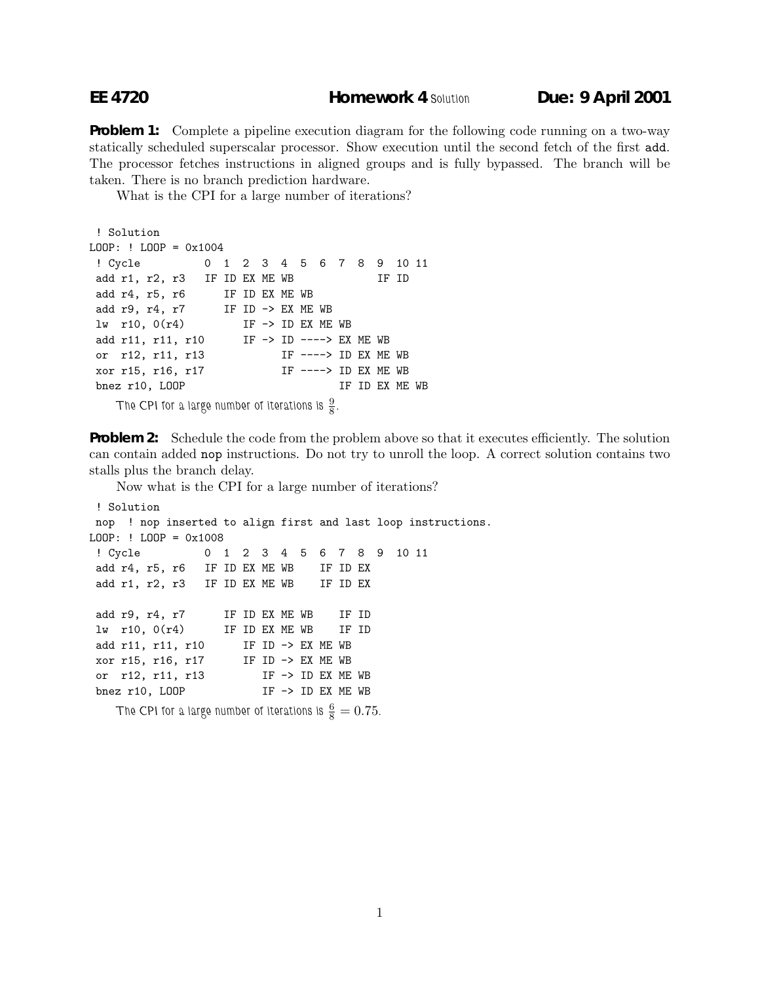**Problem 1:** Complete a pipeline execution diagram for the following code running on a two-way statically scheduled superscalar processor. Show execution until the second fetch of the first add. The processor fetches instructions in aligned groups and is fully bypassed. The branch will be taken. There is no branch prediction hardware.

What is the CPI for a large number of iterations?

```
! Solution
LOOP: ! LOOP = 0x1004
! Cycle 0 1 2 3 4 5 6 7 8 9 10 11
add r1, r2, r3 IF ID EX ME WB IF ID
add r4, r5, r6 IF ID EX ME WB
add r9, r4, r7 IF ID \rightarrow EX ME WB
lw r10, O(r4) IF \rightarrow ID EX ME WB
add r11, r11, r10 IF -> ID ----> EX ME WB
or r12, r11, r13 IF ----> ID EX ME WB
xor r15, r16, r17 IF ----> ID EX ME WB
bnez r10, LOOP IF ID EX ME WB
   The CPI for a large number of iterations is \frac{9}{8}.
```
**Problem 2:** Schedule the code from the problem above so that it executes efficiently. The solution can contain added nop instructions. Do not try to unroll the loop. A correct solution contains two stalls plus the branch delay.

```
Now what is the CPI for a large number of iterations?
! Solution
nop ! nop inserted to align first and last loop instructions.
LOOP: ! LOOP = 0x1008
 ! Cycle 0 1 2 3 4 5 6 7 8 9 10 11
add r4, r5, r6 IF ID EX ME WB IF ID EX
add r1, r2, r3 IF ID EX ME WB IF ID EX
add r9, r4, r7 IF ID EX ME WB IF ID
lw r10, 0(r4) IF ID EX ME WB IF ID
add r11, r11, r10 IF ID \rightarrow EX ME WB
xor r15, r16, r17 IF ID -> EX ME WB
or r12, r11, r13 IF -> ID EX ME WB
bnez r10, LOOP IF -> ID EX ME WB
    The CPI for a large number of iterations is \frac{6}{8} = 0.75.
```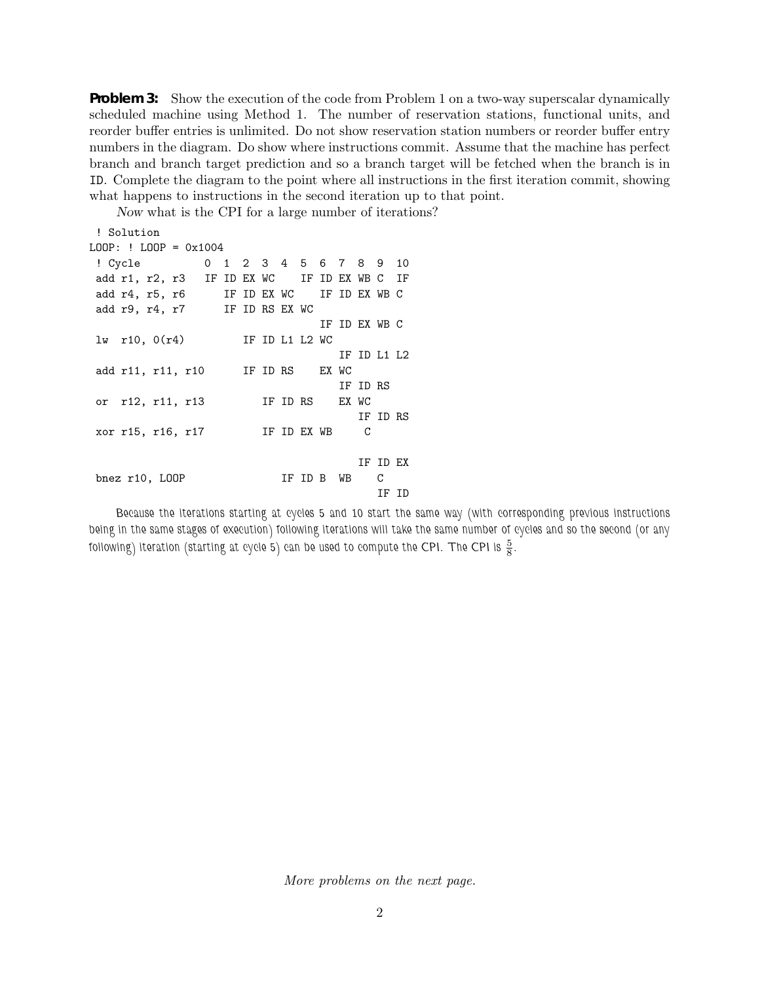**Problem 3:** Show the execution of the code from Problem 1 on a two-way superscalar dynamically scheduled machine using Method 1. The number of reservation stations, functional units, and reorder buffer entries is unlimited. Do not show reservation station numbers or reorder buffer entry numbers in the diagram. Do show where instructions commit. Assume that the machine has perfect branch and branch target prediction and so a branch target will be fetched when the branch is in ID. Complete the diagram to the point where all instructions in the first iteration commit, showing what happens to instructions in the second iteration up to that point.

Now what is the CPI for a large number of iterations?

```
! Solution
LOOP: ! LOOP = 0x1004
! Cycle 0 1 2 3 4 5 6 7 8 9 10
add r1, r2, r3 IF ID EX WC IF ID EX WB C IF
add r4, r5, r6 IF ID EX WC IF ID EX WB C
add r9, r4, r7 IF ID RS EX WC
                             IF ID EX WB C
lw r10, 0(r4) IF ID L1 L2 WC
                               IF ID L1 L2
add r11, r11, r10 IF ID RS EX WC
                               IF ID RS
or r12, r11, r13 IF ID RS EX WC
                                  IF ID RS
xor r15, r16, r17 IF ID EX WB C
                                  IF ID EX
bnez r10, LOOP IF ID B WB C
                                    IF ID
```
*Because the iterations starting at cycles 5 and 10 start the same way (with corresponding previous instructions being in the same stages of execution) following iterations will take the same number of cycles and so the second (or any* following) iteration (starting at cycle  $5$ ) can be used to compute the CPI. The CPI is  $\frac{5}{8}$ .

*More problems on the next page.*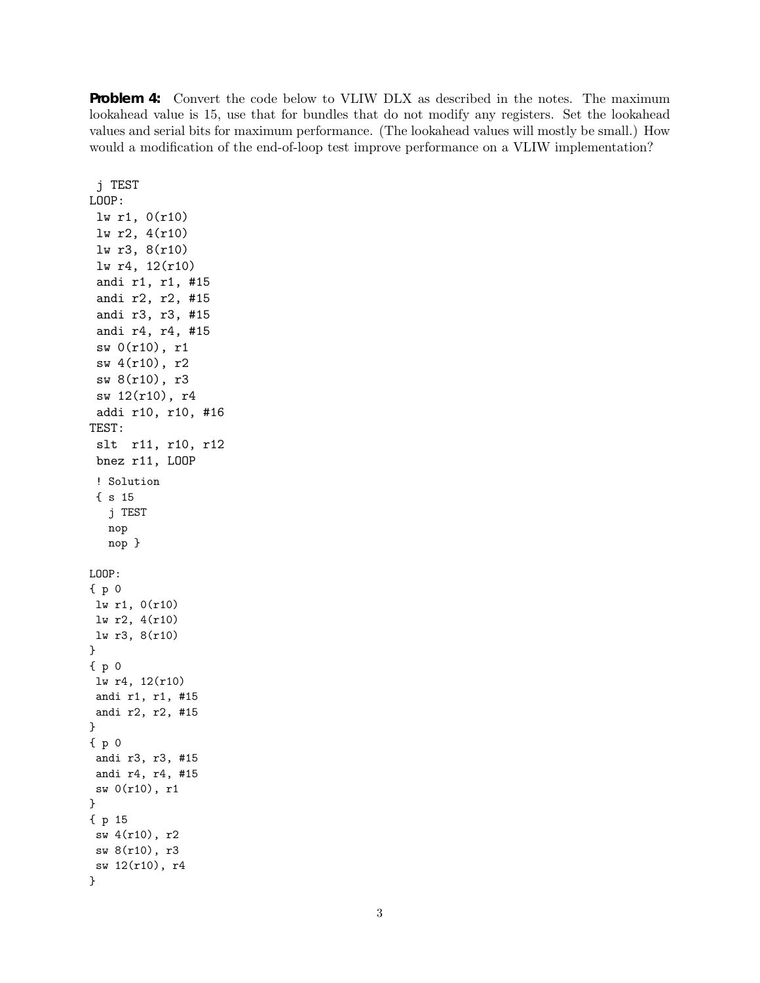**Problem 4:** Convert the code below to VLIW DLX as described in the notes. The maximum lookahead value is 15, use that for bundles that do not modify any registers. Set the lookahead values and serial bits for maximum performance. (The lookahead values will mostly be small.) How would a modification of the end-of-loop test improve performance on a VLIW implementation?

j TEST LOOP: lw r1, 0(r10) lw r2, 4(r10) lw r3, 8(r10) lw r4, 12(r10) andi r1, r1, #15 andi r2, r2, #15 andi r3, r3, #15 andi r4, r4, #15 sw 0(r10), r1 sw 4(r10), r2 sw 8(r10), r3 sw 12(r10), r4 addi r10, r10, #16 TEST: slt r11, r10, r12 bnez r11, LOOP ! Solution { s 15 j TEST nop nop } LOOP: {p0 lw r1, 0(r10) lw r2, 4(r10) lw r3, 8(r10) } {p0 lw r4, 12(r10) andi r1, r1, #15 andi r2, r2, #15 } {p0 andi r3, r3, #15 andi r4, r4, #15 sw 0(r10), r1 } { p 15 sw 4(r10), r2 sw 8(r10), r3 sw 12(r10), r4 }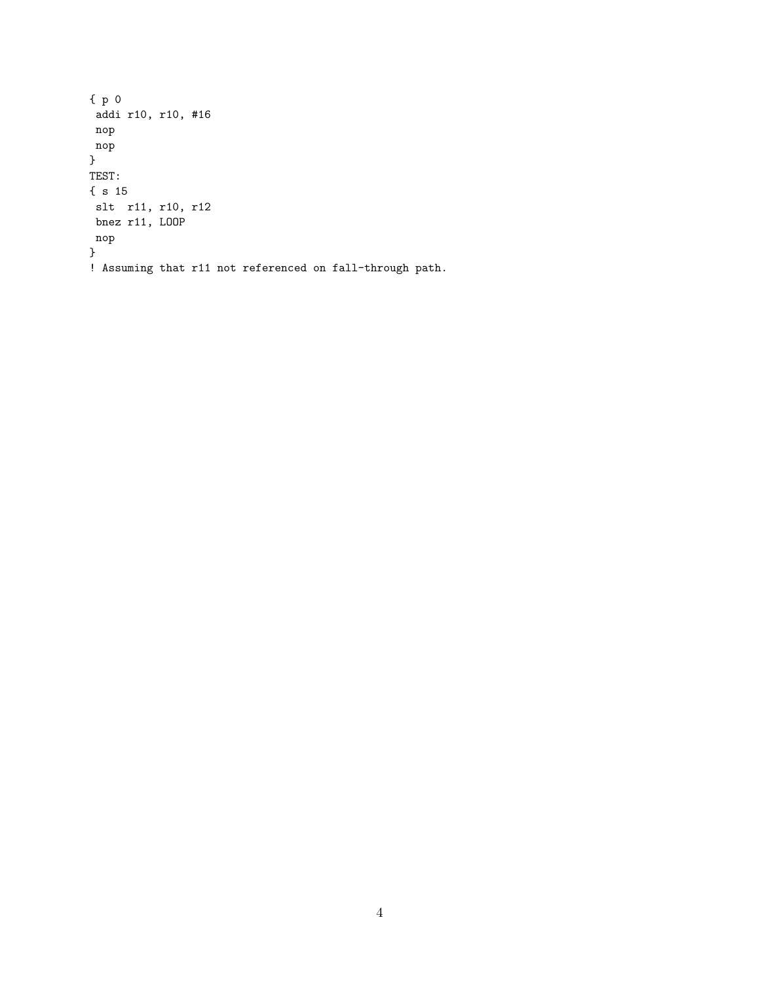```
\{p\} 0
addi r10, r10, #16
nop
nop
}
TEST:
{ s 15
slt r11, r10, r12
bnez r11, LOOP
nop
}
! Assuming that r11 not referenced on fall-through path.
```